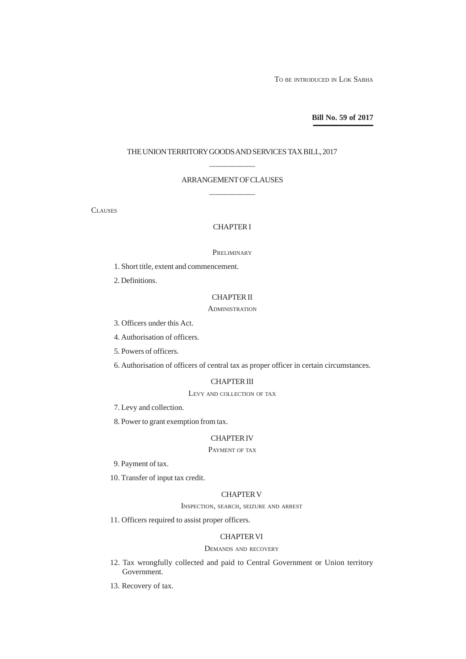TO BE INTRODUCED IN LOK SABHA

**Bill No. 59 of 2017**

#### THE UNION TERRITORY GOODS AND SERVICES TAX BILL, 2017

# —————— ARRANGEMENT OF CLAUSES ——————

**CLAUSES** 

# CHAPTER I

#### **PRELIMINARY**

1. Short title, extent and commencement.

2. Definitions.

## CHAPTER II

#### **ADMINISTRATION**

- 3. Officers under this Act.
- 4. Authorisation of officers.
- 5. Powers of officers.
- 6. Authorisation of officers of central tax as proper officer in certain circumstances.

## CHAPTER III

LEVY AND COLLECTION OF TAX

7. Levy and collection.

8. Power to grant exemption from tax.

## CHAPTER IV

# PAYMENT OF TAX

- 9. Payment of tax.
- 10. Transfer of input tax credit.

## CHAPTER V

INSPECTION, SEARCH, SEIZURE AND ARREST

11. Officers required to assist proper officers.

## CHAPTER VI

## DEMANDS AND RECOVERY

- 12. Tax wrongfully collected and paid to Central Government or Union territory Government.
- 13. Recovery of tax.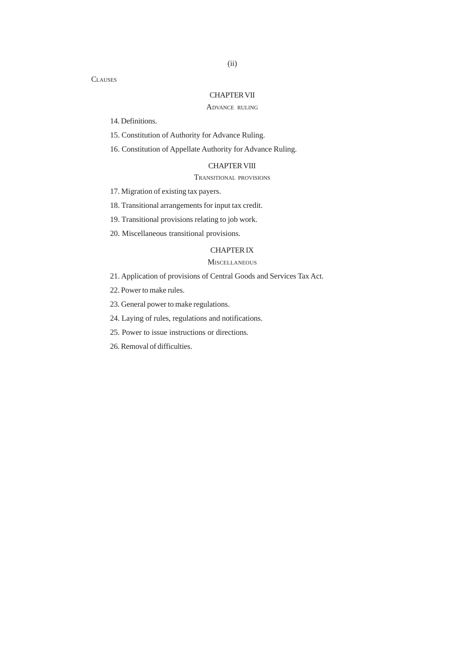# CHAPTER VII

## ADVANCE RULING

14. Definitions.

15. Constitution of Authority for Advance Ruling.

16. Constitution of Appellate Authority for Advance Ruling.

## CHAPTER VIII

## TRANSITIONAL PROVISIONS

17. Migration of existing tax payers.

18. Transitional arrangements for input tax credit.

- 19. Transitional provisions relating to job work.
- 20. Miscellaneous transitional provisions.

## CHAPTER IX

# **MISCELLANEOUS**

- 21. Application of provisions of Central Goods and Services Tax Act.
- 22. Power to make rules.
- 23. General power to make regulations.
- 24. Laying of rules, regulations and notifications.
- 25. Power to issue instructions or directions.
- 26. Removal of difficulties.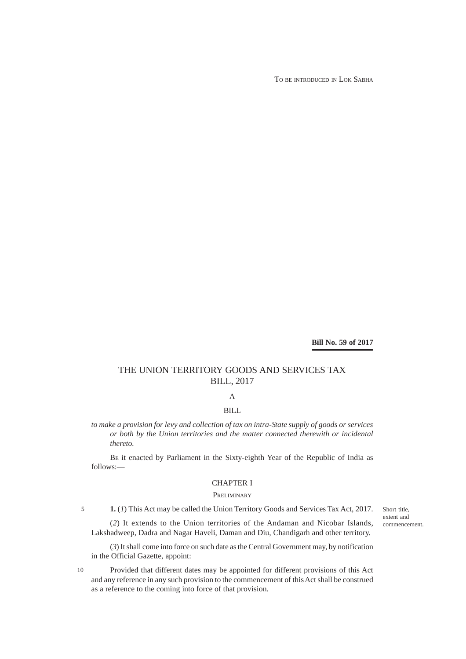TO BE INTRODUCED IN LOK SABHA

**Bill No. 59 of 2017**

# THE UNION TERRITORY GOODS AND SERVICES TAX BILL, 2017

# A

# BILL

*to make a provision for levy and collection of tax on intra-State supply of goods or services or both by the Union territories and the matter connected therewith or incidental thereto.*

BE it enacted by Parliament in the Sixty-eighth Year of the Republic of India as follows:—

# CHAPTER I

#### **PRELIMINARY**

5

10

**1.** (*1*) This Act may be called the Union Territory Goods and Services Tax Act, 2017.

(*2*) It extends to the Union territories of the Andaman and Nicobar Islands, Lakshadweep, Dadra and Nagar Haveli, Daman and Diu, Chandigarh and other territory.

(*3*) It shall come into force on such date as the Central Government may, by notification in the Official Gazette, appoint:

Provided that different dates may be appointed for different provisions of this Act and any reference in any such provision to the commencement of this Act shall be construed as a reference to the coming into force of that provision.

Short title, extent and commencement.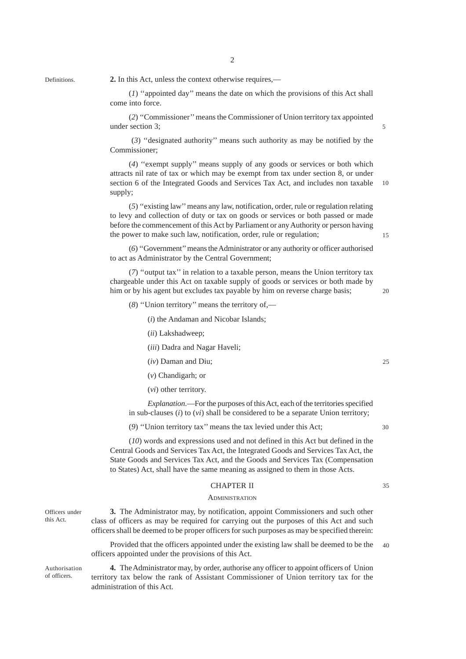**Definitions** 

**2.** In this Act, unless the context otherwise requires,—

(*1*) ''appointed day'' means the date on which the provisions of this Act shall come into force.

2

(*2*) ''Commissioner'' means the Commissioner of Union territory tax appointed under section 3;

 (*3*) ''designated authority'' means such authority as may be notified by the Commissioner;

(*4*) ''exempt supply'' means supply of any goods or services or both which attracts nil rate of tax or which may be exempt from tax under section 8, or under section 6 of the Integrated Goods and Services Tax Act, and includes non taxable supply; 10

(*5*) ''existing law'' means any law, notification, order, rule or regulation relating to levy and collection of duty or tax on goods or services or both passed or made before the commencement of this Act by Parliament or any Authority or person having the power to make such law, notification, order, rule or regulation;

(*6*) ''Government'' means the Administrator or any authority or officer authorised to act as Administrator by the Central Government;

(*7*) ''output tax'' in relation to a taxable person, means the Union territory tax chargeable under this Act on taxable supply of goods or services or both made by him or by his agent but excludes tax payable by him on reverse charge basis;

(*8*) ''Union territory'' means the territory of,—

(*i*) the Andaman and Nicobar Islands;

(*ii*) Lakshadweep;

(*iii*) Dadra and Nagar Haveli;

- (*iv*) Daman and Diu;
- (*v*) Chandigarh; or
- (*vi*) other territory.

*Explanation*.—For the purposes of this Act, each of the territories specified in sub-clauses (*i*) to (*vi*) shall be considered to be a separate Union territory;

(*9*) ''Union territory tax'' means the tax levied under this Act;

(*10*) words and expressions used and not defined in this Act but defined in the Central Goods and Services Tax Act, the Integrated Goods and Services Tax Act, the State Goods and Services Tax Act, and the Goods and Services Tax (Compensation to States) Act, shall have the same meaning as assigned to them in those Acts.

## CHAPTER II

#### **ADMINISTRATION**

Officers under this Act.

**3.** The Administrator may, by notification, appoint Commissioners and such other class of officers as may be required for carrying out the purposes of this Act and such officers shall be deemed to be proper officers for such purposes as may be specified therein:

Provided that the officers appointed under the existing law shall be deemed to be the officers appointed under the provisions of this Act. 40

Authorisation of officers.

**4.** The Administrator may, by order, authorise any officer to appoint officers of Union territory tax below the rank of Assistant Commissioner of Union territory tax for the administration of this Act.

15

5

 $30$ 

35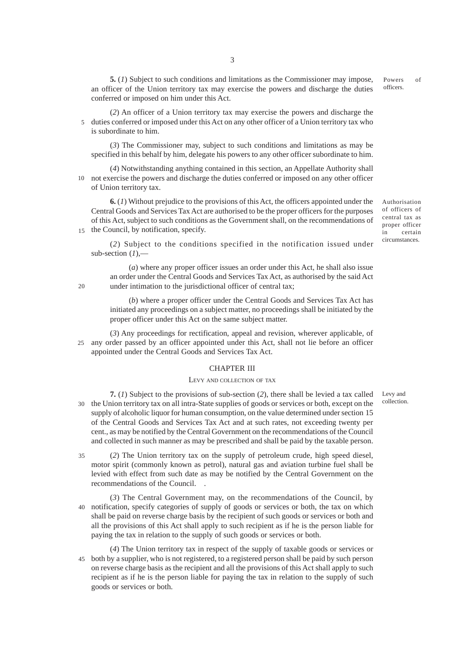**5.** (*1*) Subject to such conditions and limitations as the Commissioner may impose, an officer of the Union territory tax may exercise the powers and discharge the duties conferred or imposed on him under this Act. officers.

Powers of

(*2*) An officer of a Union territory tax may exercise the powers and discharge the 5 duties conferred or imposed under this Act on any other officer of a Union territory tax who is subordinate to him.

(*3*) The Commissioner may, subject to such conditions and limitations as may be specified in this behalf by him, delegate his powers to any other officer subordinate to him.

(*4*) Notwithstanding anything contained in this section, an Appellate Authority shall 10 not exercise the powers and discharge the duties conferred or imposed on any other officer of Union territory tax.

**6.** (*1*) Without prejudice to the provisions of this Act, the officers appointed under the Central Goods and Services Tax Act are authorised to be the proper officers for the purposes of this Act, subject to such conditions as the Government shall, on the recommendations of 15 the Council, by notification, specify.

Authorisation of officers of central tax as proper officer in certain circumstances.

(*2*) Subject to the conditions specified in the notification issued under sub-section (1),-

(*a*) where any proper officer issues an order under this Act, he shall also issue an order under the Central Goods and Services Tax Act, as authorised by the said Act under intimation to the jurisdictional officer of central tax;

(*b*) where a proper officer under the Central Goods and Services Tax Act has initiated any proceedings on a subject matter, no proceedings shall be initiated by the proper officer under this Act on the same subject matter.

(*3*) Any proceedings for rectification, appeal and revision, wherever applicable, of any order passed by an officer appointed under this Act, shall not lie before an officer appointed under the Central Goods and Services Tax Act.  $25$ 

20

#### CHAPTER III

#### LEVY AND COLLECTION OF TAX

**7.** (*1*) Subject to the provisions of sub-section (*2*), there shall be levied a tax called 30 the Union territory tax on all intra-State supplies of goods or services or both, except on the supply of alcoholic liquor for human consumption, on the value determined under section 15 of the Central Goods and Services Tax Act and at such rates, not exceeding twenty per cent., as may be notified by the Central Government on the recommendations of the Council and collected in such manner as may be prescribed and shall be paid by the taxable person.

(*2*) The Union territory tax on the supply of petroleum crude, high speed diesel, motor spirit (commonly known as petrol), natural gas and aviation turbine fuel shall be levied with effect from such date as may be notified by the Central Government on the recommendations of the Council. . 35

(*3*) The Central Government may, on the recommendations of the Council, by notification, specify categories of supply of goods or services or both, the tax on which 40 shall be paid on reverse charge basis by the recipient of such goods or services or both and all the provisions of this Act shall apply to such recipient as if he is the person liable for paying the tax in relation to the supply of such goods or services or both.

(*4*) The Union territory tax in respect of the supply of taxable goods or services or both by a supplier, who is not registered, to a registered person shall be paid by such person 45on reverse charge basis as the recipient and all the provisions of this Act shall apply to such recipient as if he is the person liable for paying the tax in relation to the supply of such goods or services or both.

Levy and collection.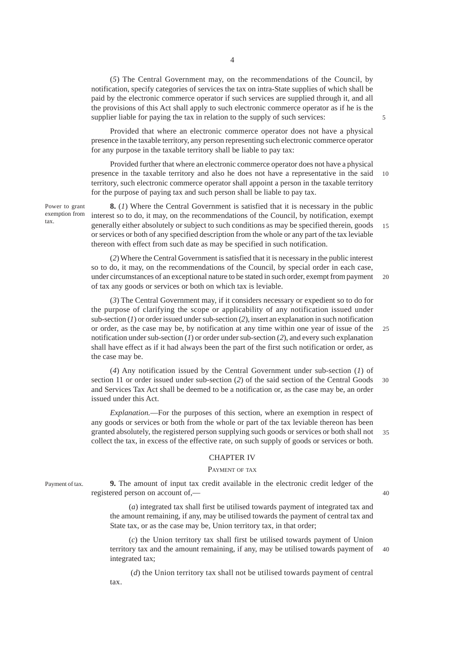(*5*) The Central Government may, on the recommendations of the Council, by notification, specify categories of services the tax on intra-State supplies of which shall be paid by the electronic commerce operator if such services are supplied through it, and all the provisions of this Act shall apply to such electronic commerce operator as if he is the supplier liable for paying the tax in relation to the supply of such services:

5

40

Provided that where an electronic commerce operator does not have a physical presence in the taxable territory, any person representing such electronic commerce operator for any purpose in the taxable territory shall be liable to pay tax:

Provided further that where an electronic commerce operator does not have a physical presence in the taxable territory and also he does not have a representative in the said territory, such electronic commerce operator shall appoint a person in the taxable territory for the purpose of paying tax and such person shall be liable to pay tax. 10

Power to grant exemption from tax.

**8.** (*1*) Where the Central Government is satisfied that it is necessary in the public interest so to do, it may, on the recommendations of the Council, by notification, exempt generally either absolutely or subject to such conditions as may be specified therein, goods or services or both of any specified description from the whole or any part of the tax leviable thereon with effect from such date as may be specified in such notification. 15

(*2*) Where the Central Government is satisfied that it is necessary in the public interest so to do, it may, on the recommendations of the Council, by special order in each case, under circumstances of an exceptional nature to be stated in such order, exempt from payment of tax any goods or services or both on which tax is leviable. 20

(*3*) The Central Government may, if it considers necessary or expedient so to do for the purpose of clarifying the scope or applicability of any notification issued under sub-section (*1*) or order issued under sub-section (*2*), insert an explanation in such notification or order, as the case may be, by notification at any time within one year of issue of the notification under sub-section (*1*) or order under sub-section (*2*), and every such explanation shall have effect as if it had always been the part of the first such notification or order, as the case may be. 25

(*4*) Any notification issued by the Central Government under sub-section (*1*) of section 11 or order issued under sub-section (*2*) of the said section of the Central Goods and Services Tax Act shall be deemed to be a notification or, as the case may be, an order issued under this Act. 30

*Explanation.*—For the purposes of this section, where an exemption in respect of any goods or services or both from the whole or part of the tax leviable thereon has been granted absolutely, the registered person supplying such goods or services or both shall not collect the tax, in excess of the effective rate, on such supply of goods or services or both. 35

## CHAPTER IV

#### PAYMENT OF TAX

Payment of tax.

**9.** The amount of input tax credit available in the electronic credit ledger of the registered person on account of,—

(*a*) integrated tax shall first be utilised towards payment of integrated tax and the amount remaining, if any, may be utilised towards the payment of central tax and State tax, or as the case may be, Union territory tax, in that order;

(*c*) the Union territory tax shall first be utilised towards payment of Union territory tax and the amount remaining, if any, may be utilised towards payment of integrated tax; 40

 (*d*) the Union territory tax shall not be utilised towards payment of central tax.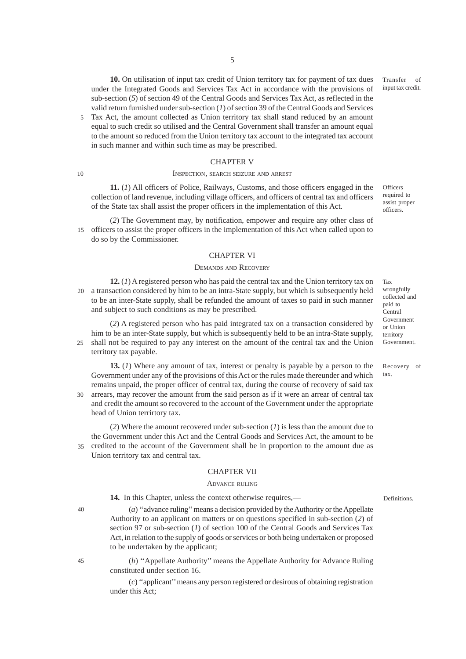**10.** On utilisation of input tax credit of Union territory tax for payment of tax dues under the Integrated Goods and Services Tax Act in accordance with the provisions of sub-section (*5*) of section 49 of the Central Goods and Services Tax Act, as reflected in the valid return furnished under sub-section (*1*) of section 39 of the Central Goods and Services Transfer of input tax credit.

Tax Act, the amount collected as Union territory tax shall stand reduced by an amount equal to such credit so utilised and the Central Government shall transfer an amount equal to the amount so reduced from the Union territory tax account to the integrated tax account in such manner and within such time as may be prescribed. 5

#### CHAPTER V

#### INSPECTION, SEARCH SEIZURE AND ARREST

**11.** (*1*) All officers of Police, Railways, Customs, and those officers engaged in the collection of land revenue, including village officers, and officers of central tax and officers of the State tax shall assist the proper officers in the implementation of this Act.

(*2*) The Government may, by notification, empower and require any other class of 15 officers to assist the proper officers in the implementation of this Act when called upon to do so by the Commissioner.

## CHAPTER VI

#### DEMANDS AND RECOVERY

**12.** (*1*) A registered person who has paid the central tax and the Union territory tax on a transaction considered by him to be an intra-State supply, but which is subsequently held to be an inter-State supply, shall be refunded the amount of taxes so paid in such manner and subject to such conditions as may be prescribed. 20

(*2*) A registered person who has paid integrated tax on a transaction considered by him to be an inter-State supply, but which is subsequently held to be an intra-State supply, shall not be required to pay any interest on the amount of the central tax and the Union territory tax payable.  $25$ 

**13.** (*1*) Where any amount of tax, interest or penalty is payable by a person to the Government under any of the provisions of this Act or the rules made thereunder and which remains unpaid, the proper officer of central tax, during the course of recovery of said tax arrears, may recover the amount from the said person as if it were an arrear of central tax 30

and credit the amount so recovered to the account of the Government under the appropriate head of Union terrirtory tax.

(*2*) Where the amount recovered under sub-section (*1*) is less than the amount due to the Government under this Act and the Central Goods and Services Act, the amount to be credited to the account of the Government shall be in proportion to the amount due as Union territory tax and central tax. 35

#### CHAPTER VII

#### ADVANCE RULING

14. In this Chapter, unless the context otherwise requires,—

(*a*) ''advance ruling'' means a decision provided by the Authority or the Appellate Authority to an applicant on matters or on questions specified in sub-section (*2*) of section 97 or sub-section (*1*) of section 100 of the Central Goods and Services Tax Act, in relation to the supply of goods or services or both being undertaken or proposed to be undertaken by the applicant;

45

40

10

(*b*) ''Appellate Authority'' means the Appellate Authority for Advance Ruling constituted under section 16.

(*c*) ''applicant'' means any person registered or desirous of obtaining registration under this Act;

required to assist proper officers.

**Officers** 

Tax wrongfully collected and paid to Central Government or Union territory Government.

Recovery of tax.

Definitions.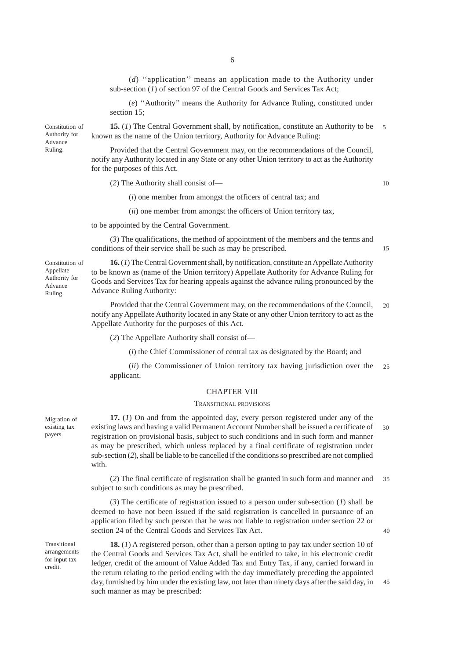(*d*) ''application'' means an application made to the Authority under sub-section (*1*) of section 97 of the Central Goods and Services Tax Act;

(*e*) ''Authority'' means the Authority for Advance Ruling, constituted under section 15;

**15.** (*1*) The Central Government shall, by notification, constitute an Authority to be known as the name of the Union territory, Authority for Advance Ruling: 5

Provided that the Central Government may, on the recommendations of the Council, notify any Authority located in any State or any other Union territory to act as the Authority for the purposes of this Act.

(*2*) The Authority shall consist of—

(*i*) one member from amongst the officers of central tax; and

(*ii*) one member from amongst the officers of Union territory tax,

to be appointed by the Central Government.

(*3*) The qualifications, the method of appointment of the members and the terms and conditions of their service shall be such as may be prescribed.

**16.** (*1*) The Central Government shall, by notification, constitute an Appellate Authority to be known as (name of the Union territory) Appellate Authority for Advance Ruling for Goods and Services Tax for hearing appeals against the advance ruling pronounced by the Advance Ruling Authority:

Provided that the Central Government may, on the recommendations of the Council, notify any Appellate Authority located in any State or any other Union territory to act as the Appellate Authority for the purposes of this Act. 20

(*2*) The Appellate Authority shall consist of—

(*i*) the Chief Commissioner of central tax as designated by the Board; and

(*ii*) the Commissioner of Union territory tax having jurisdiction over the applicant. 25

#### CHAPTER VIII

#### TRANSITIONAL PROVISIONS

**17.** (*1*) On and from the appointed day, every person registered under any of the existing laws and having a valid Permanent Account Number shall be issued a certificate of registration on provisional basis, subject to such conditions and in such form and manner as may be prescribed, which unless replaced by a final certificate of registration under sub-section (*2*), shall be liable to be cancelled if the conditions so prescribed are not complied with. 30

(*2*) The final certificate of registration shall be granted in such form and manner and subject to such conditions as may be prescribed. 35

(*3*) The certificate of registration issued to a person under sub-section (*1*) shall be deemed to have not been issued if the said registration is cancelled in pursuance of an application filed by such person that he was not liable to registration under section 22 or section 24 of the Central Goods and Services Tax Act.

Transitional arrangements for input tax credit.

Migration of existing tax payers.

> **18.** (*1*) A registered person, other than a person opting to pay tax under section 10 of the Central Goods and Services Tax Act, shall be entitled to take, in his electronic credit ledger, credit of the amount of Value Added Tax and Entry Tax, if any, carried forward in the return relating to the period ending with the day immediately preceding the appointed day, furnished by him under the existing law, not later than ninety days after the said day, in such manner as may be prescribed: 45

Constitution of Appellate Authority for Advance Ruling.

Constitution of Authority for Advance Ruling.

10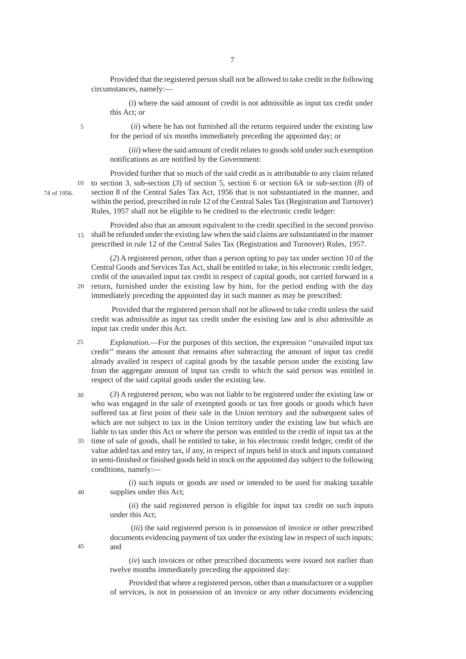Provided that the registered person shall not be allowed to take credit in the following circumstances, namely:—

(*i*) where the said amount of credit is not admissible as input tax credit under this Act; or

5

10

 (*ii*) where he has not furnished all the returns required under the existing law for the period of six months immediately preceding the appointed day; or

(*iii*) where the said amount of credit relates to goods sold under such exemption notifications as are notified by the Government:

74 of 1956.

Provided further that so much of the said credit as is attributable to any claim related to section 3, sub-section (*3*) of section 5, section 6 or section 6A or sub-section (*8*) of section 8 of the Central Sales Tax Act, 1956 that is not substantiated in the manner, and within the period, prescribed in rule 12 of the Central Sales Tax (Registration and Turnover) Rules, 1957 shall not be eligible to be credited to the electronic credit ledger:

Provided also that an amount equivalent to the credit specified in the second proviso shall be refunded under the existing law when the said claims are substantiated in the manner prescribed in rule 12 of the Central Sales Tax (Registration and Turnover) Rules, 1957. 15

(*2*) A registered person, other than a person opting to pay tax under section 10 of the Central Goods and Services Tax Act, shall be entitled to take, in his electronic credit ledger, credit of the unavailed input tax credit in respect of capital goods, not carried forward in a 20 return, furnished under the existing law by him, for the period ending with the day immediately preceding the appointed day in such manner as may be prescribed:

 Provided that the registered person shall not be allowed to take credit unless the said credit was admissible as input tax credit under the existing law and is also admissible as input tax credit under this Act.

*Explanation.*—For the purposes of this section, the expression ''unavailed input tax credit'' means the amount that remains after subtracting the amount of input tax credit already availed in respect of capital goods by the taxable person under the existing law from the aggregate amount of input tax credit to which the said person was entitled in respect of the said capital goods under the existing law.  $25$ 

(*3*) A registered person, who was not liable to be registered under the existing law or who was engaged in the sale of exempted goods or tax free goods or goods which have suffered tax at first point of their sale in the Union territory and the subsequent sales of which are not subject to tax in the Union territory under the existing law but which are liable to tax under this Act or where the person was entitled to the credit of input tax at the 30

35 time of sale of goods, shall be entitled to take, in his electronic credit ledger, credit of the value added tax and entry tax, if any, in respect of inputs held in stock and inputs contained in semi-finished or finished goods held in stock on the appointed day subject to the following conditions, namely:—

(*i*) such inputs or goods are used or intended to be used for making taxable supplies under this Act;

(*ii*) the said registered person is eligible for input tax credit on such inputs under this Act;

 (*iii*) the said registered person is in possession of invoice or other prescribed documents evidencing payment of tax under the existing law in respect of such inputs; and

(*iv*) such invoices or other prescribed documents were issued not earlier than twelve months immediately preceding the appointed day:

Provided that where a registered person, other than a manufacturer or a supplier of services, is not in possession of an invoice or any other documents evidencing

40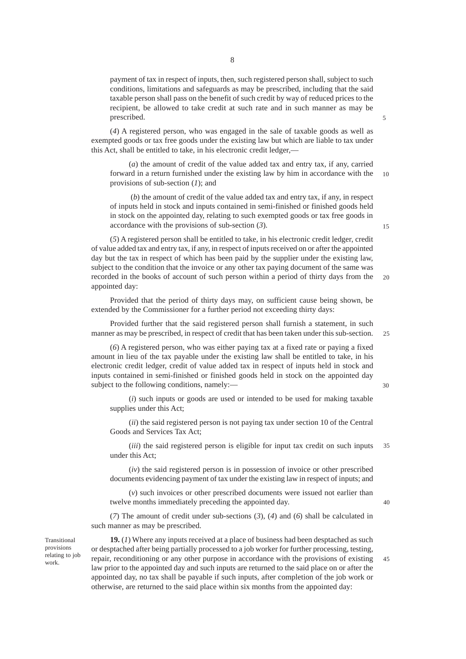payment of tax in respect of inputs, then, such registered person shall, subject to such conditions, limitations and safeguards as may be prescribed, including that the said taxable person shall pass on the benefit of such credit by way of reduced prices to the recipient, be allowed to take credit at such rate and in such manner as may be prescribed.

(*4*) A registered person, who was engaged in the sale of taxable goods as well as exempted goods or tax free goods under the existing law but which are liable to tax under this Act, shall be entitled to take, in his electronic credit ledger,—

(*a*) the amount of credit of the value added tax and entry tax, if any, carried forward in a return furnished under the existing law by him in accordance with the provisions of sub-section (*1*); and 10

 (*b*) the amount of credit of the value added tax and entry tax, if any, in respect of inputs held in stock and inputs contained in semi-finished or finished goods held in stock on the appointed day, relating to such exempted goods or tax free goods in accordance with the provisions of sub-section (*3*).

(*5*) A registered person shall be entitled to take, in his electronic credit ledger, credit of value added tax and entry tax, if any, in respect of inputs received on or after the appointed day but the tax in respect of which has been paid by the supplier under the existing law, subject to the condition that the invoice or any other tax paying document of the same was recorded in the books of account of such person within a period of thirty days from the appointed day:  $20$ 

Provided that the period of thirty days may, on sufficient cause being shown, be extended by the Commissioner for a further period not exceeding thirty days:

Provided further that the said registered person shall furnish a statement, in such manner as may be prescribed, in respect of credit that has been taken under this sub-section. 25

(*6*) A registered person, who was either paying tax at a fixed rate or paying a fixed amount in lieu of the tax payable under the existing law shall be entitled to take, in his electronic credit ledger, credit of value added tax in respect of inputs held in stock and inputs contained in semi-finished or finished goods held in stock on the appointed day subject to the following conditions, namely:—

(*i*) such inputs or goods are used or intended to be used for making taxable supplies under this Act;

(*ii*) the said registered person is not paying tax under section 10 of the Central Goods and Services Tax Act;

(*iii*) the said registered person is eligible for input tax credit on such inputs under this Act; 35

(*iv*) the said registered person is in possession of invoice or other prescribed documents evidencing payment of tax under the existing law in respect of inputs; and

(*v*) such invoices or other prescribed documents were issued not earlier than twelve months immediately preceding the appointed day.

(*7*) The amount of credit under sub-sections (*3*), (*4*) and (*6*) shall be calculated in such manner as may be prescribed.

Transitional provisions relating to job work.

**19.** (*1*) Where any inputs received at a place of business had been desptached as such or desptached after being partially processed to a job worker for further processing, testing, repair, reconditioning or any other purpose in accordance with the provisions of existing law prior to the appointed day and such inputs are returned to the said place on or after the appointed day, no tax shall be payable if such inputs, after completion of the job work or otherwise, are returned to the said place within six months from the appointed day: 45

8

15

5

30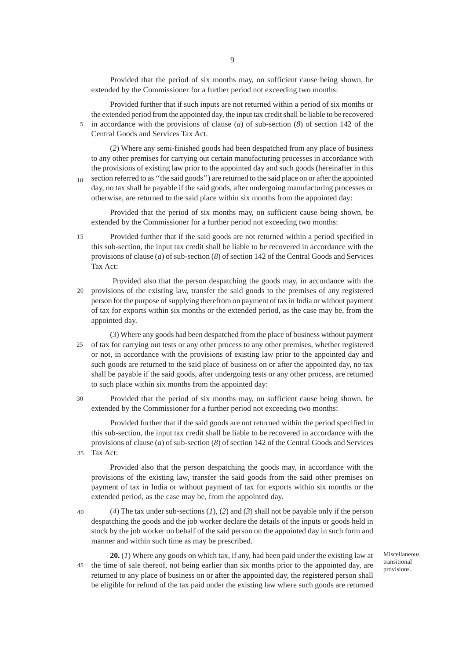Provided that the period of six months may, on sufficient cause being shown, be extended by the Commissioner for a further period not exceeding two months:

Provided further that if such inputs are not returned within a period of six months or the extended period from the appointed day, the input tax credit shall be liable to be recovered in accordance with the provisions of clause (*a*) of sub-section (*8*) of section 142 of the Central Goods and Services Tax Act.

(*2*) Where any semi-finished goods had been despatched from any place of business to any other premises for carrying out certain manufacturing processes in accordance with the provisions of existing law prior to the appointed day and such goods (hereinafter in this section referred to as ''the said goods'') are returned to the said place on or after the appointed day, no tax shall be payable if the said goods, after undergoing manufacturing processes or otherwise, are returned to the said place within six months from the appointed day: 10

Provided that the period of six months may, on sufficient cause being shown, be extended by the Commissioner for a further period not exceeding two months:

Provided further that if the said goods are not returned within a period specified in this sub-section, the input tax credit shall be liable to be recovered in accordance with the provisions of clause (*a*) of sub-section (*8*) of section 142 of the Central Goods and Services Tax Act: 15

 Provided also that the person despatching the goods may, in accordance with the provisions of the existing law, transfer the said goods to the premises of any registered person for the purpose of supplying therefrom on payment of tax in India or without payment of tax for exports within six months or the extended period, as the case may be, from the appointed day.  $20$ 

(*3*) Where any goods had been despatched from the place of business without payment of tax for carrying out tests or any other process to any other premises, whether registered or not, in accordance with the provisions of existing law prior to the appointed day and such goods are returned to the said place of business on or after the appointed day, no tax shall be payable if the said goods, after undergoing tests or any other process, are returned to such place within six months from the appointed day: 25

Provided that the period of six months may, on sufficient cause being shown, be extended by the Commissioner for a further period not exceeding two months:

Provided further that if the said goods are not returned within the period specified in this sub-section, the input tax credit shall be liable to be recovered in accordance with the provisions of clause (*a*) of sub-section (*8*) of section 142 of the Central Goods and Services Tax Act: 35

Provided also that the person despatching the goods may, in accordance with the provisions of the existing law, transfer the said goods from the said other premises on payment of tax in India or without payment of tax for exports within six months or the extended period, as the case may be, from the appointed day.

(*4*) The tax under sub-sections (*1*), (*2*) and (*3*) shall not be payable only if the person despatching the goods and the job worker declare the details of the inputs or goods held in stock by the job worker on behalf of the said person on the appointed day in such form and manner and within such time as may be prescribed. 40

**20.** (*1*) Where any goods on which tax, if any, had been paid under the existing law at 45 the time of sale thereof, not being earlier than six months prior to the appointed day, are returned to any place of business on or after the appointed day, the registered person shall be eligible for refund of the tax paid under the existing law where such goods are returned

Miscellaneous transitional provisions.

 $30$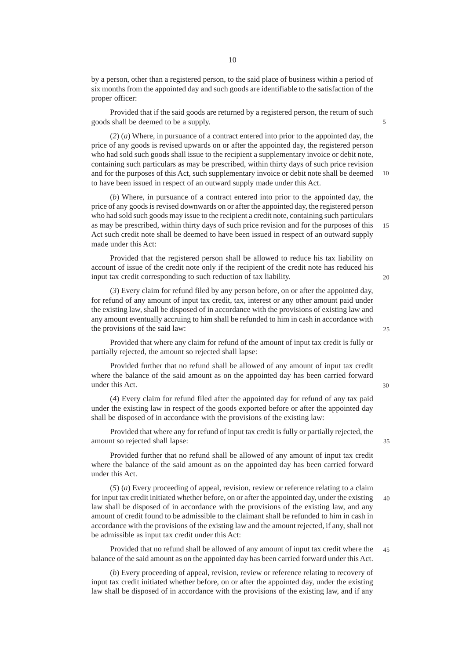by a person, other than a registered person, to the said place of business within a period of six months from the appointed day and such goods are identifiable to the satisfaction of the proper officer:

Provided that if the said goods are returned by a registered person, the return of such goods shall be deemed to be a supply.

(*2*) (*a*) Where, in pursuance of a contract entered into prior to the appointed day, the price of any goods is revised upwards on or after the appointed day, the registered person who had sold such goods shall issue to the recipient a supplementary invoice or debit note, containing such particulars as may be prescribed, within thirty days of such price revision and for the purposes of this Act, such supplementary invoice or debit note shall be deemed to have been issued in respect of an outward supply made under this Act. 10

(*b*) Where, in pursuance of a contract entered into prior to the appointed day, the price of any goods is revised downwards on or after the appointed day, the registered person who had sold such goods may issue to the recipient a credit note, containing such particulars as may be prescribed, within thirty days of such price revision and for the purposes of this Act such credit note shall be deemed to have been issued in respect of an outward supply made under this Act: 15

Provided that the registered person shall be allowed to reduce his tax liability on account of issue of the credit note only if the recipient of the credit note has reduced his input tax credit corresponding to such reduction of tax liability.

(*3*) Every claim for refund filed by any person before, on or after the appointed day, for refund of any amount of input tax credit, tax, interest or any other amount paid under the existing law, shall be disposed of in accordance with the provisions of existing law and any amount eventually accruing to him shall be refunded to him in cash in accordance with the provisions of the said law:

Provided that where any claim for refund of the amount of input tax credit is fully or partially rejected, the amount so rejected shall lapse:

Provided further that no refund shall be allowed of any amount of input tax credit where the balance of the said amount as on the appointed day has been carried forward under this Act.

(*4*) Every claim for refund filed after the appointed day for refund of any tax paid under the existing law in respect of the goods exported before or after the appointed day shall be disposed of in accordance with the provisions of the existing law:

Provided that where any for refund of input tax credit is fully or partially rejected, the amount so rejected shall lapse:

Provided further that no refund shall be allowed of any amount of input tax credit where the balance of the said amount as on the appointed day has been carried forward under this Act.

(*5*) (*a*) Every proceeding of appeal, revision, review or reference relating to a claim for input tax credit initiated whether before, on or after the appointed day, under the existing law shall be disposed of in accordance with the provisions of the existing law, and any amount of credit found to be admissible to the claimant shall be refunded to him in cash in accordance with the provisions of the existing law and the amount rejected, if any, shall not be admissible as input tax credit under this Act: 40

Provided that no refund shall be allowed of any amount of input tax credit where the balance of the said amount as on the appointed day has been carried forward under this Act. 45

(*b*) Every proceeding of appeal, revision, review or reference relating to recovery of input tax credit initiated whether before, on or after the appointed day, under the existing law shall be disposed of in accordance with the provisions of the existing law, and if any

5

 $20$ 

25

 $30$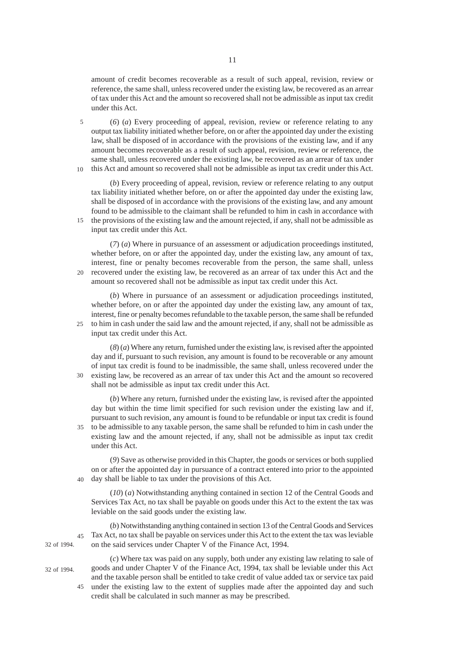amount of credit becomes recoverable as a result of such appeal, revision, review or reference, the same shall, unless recovered under the existing law, be recovered as an arrear of tax under this Act and the amount so recovered shall not be admissible as input tax credit under this Act.

(*6*) (*a*) Every proceeding of appeal, revision, review or reference relating to any output tax liability initiated whether before, on or after the appointed day under the existing law, shall be disposed of in accordance with the provisions of the existing law, and if any amount becomes recoverable as a result of such appeal, revision, review or reference, the same shall, unless recovered under the existing law, be recovered as an arrear of tax under this Act and amount so recovered shall not be admissible as input tax credit under this Act. 5 10

(*b*) Every proceeding of appeal, revision, review or reference relating to any output tax liability initiated whether before, on or after the appointed day under the existing law, shall be disposed of in accordance with the provisions of the existing law, and any amount found to be admissible to the claimant shall be refunded to him in cash in accordance with the provisions of the existing law and the amount rejected, if any, shall not be admissible as input tax credit under this Act.

(*7*) (*a*) Where in pursuance of an assessment or adjudication proceedings instituted, whether before, on or after the appointed day, under the existing law, any amount of tax, interest, fine or penalty becomes recoverable from the person, the same shall, unless recovered under the existing law, be recovered as an arrear of tax under this Act and the amount so recovered shall not be admissible as input tax credit under this Act.  $20$ 

(*b*) Where in pursuance of an assessment or adjudication proceedings instituted, whether before, on or after the appointed day under the existing law, any amount of tax, interest, fine or penalty becomes refundable to the taxable person, the same shall be refunded to him in cash under the said law and the amount rejected, if any, shall not be admissible as input tax credit under this Act. 25

(*8*) (*a*) Where any return, furnished under the existing law, is revised after the appointed day and if, pursuant to such revision, any amount is found to be recoverable or any amount of input tax credit is found to be inadmissible, the same shall, unless recovered under the existing law, be recovered as an arrear of tax under this Act and the amount so recovered shall not be admissible as input tax credit under this Act.  $30<sup>2</sup>$ 

(*b*) Where any return, furnished under the existing law, is revised after the appointed day but within the time limit specified for such revision under the existing law and if, pursuant to such revision, any amount is found to be refundable or input tax credit is found to be admissible to any taxable person, the same shall be refunded to him in cash under the 35 existing law and the amount rejected, if any, shall not be admissible as input tax credit under this Act.

(*9*) Save as otherwise provided in this Chapter, the goods or services or both supplied on or after the appointed day in pursuance of a contract entered into prior to the appointed day shall be liable to tax under the provisions of this Act.  $40$ 

(*10*) (*a*) Notwithstanding anything contained in section 12 of the Central Goods and Services Tax Act, no tax shall be payable on goods under this Act to the extent the tax was leviable on the said goods under the existing law.

(*b*) Notwithstanding anything contained in section 13 of the Central Goods and Services Tax Act, no tax shall be payable on services under this Act to the extent the tax was leviable 45 on the said services under Chapter V of the Finance Act, 1994.

32 of 1994.

45

32 of 1994.

15

(*c*) Where tax was paid on any supply, both under any existing law relating to sale of goods and under Chapter V of the Finance Act, 1994, tax shall be leviable under this Act and the taxable person shall be entitled to take credit of value added tax or service tax paid under the existing law to the extent of supplies made after the appointed day and such credit shall be calculated in such manner as may be prescribed.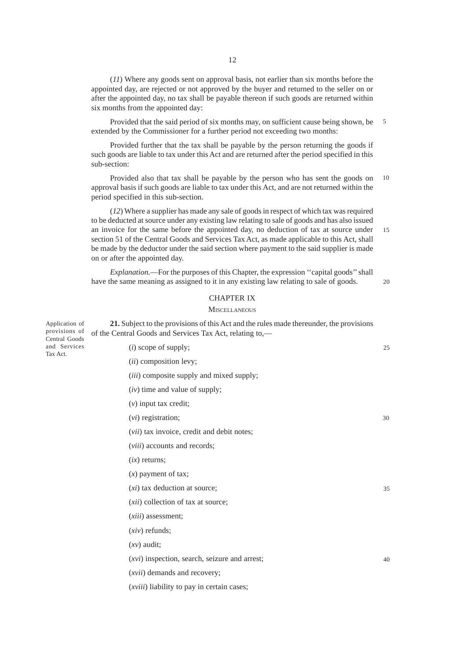(*11*) Where any goods sent on approval basis, not earlier than six months before the appointed day, are rejected or not approved by the buyer and returned to the seller on or after the appointed day, no tax shall be payable thereon if such goods are returned within six months from the appointed day:

Provided that the said period of six months may, on sufficient cause being shown, be extended by the Commissioner for a further period not exceeding two months: 5

Provided further that the tax shall be payable by the person returning the goods if such goods are liable to tax under this Act and are returned after the period specified in this sub-section:

Provided also that tax shall be payable by the person who has sent the goods on approval basis if such goods are liable to tax under this Act, and are not returned within the period specified in this sub-section. 10

(*12*) Where a supplier has made any sale of goods in respect of which tax was required to be deducted at source under any existing law relating to sale of goods and has also issued an invoice for the same before the appointed day, no deduction of tax at source under section 51 of the Central Goods and Services Tax Act, as made applicable to this Act, shall be made by the deductor under the said section where payment to the said supplier is made on or after the appointed day. 15

*Explanation.*—For the purposes of this Chapter, the expression ''capital goods'' shall have the same meaning as assigned to it in any existing law relating to sale of goods.

#### CHAPTER IX

#### **MISCELLANEOUS**

**21.** Subject to the provisions of this Act and the rules made thereunder, the provisions

20

of the Central Goods and Services Tax Act, relating to,— (*i*) scope of supply; (*ii*) composition levy; (*iii*) composite supply and mixed supply; (*iv*) time and value of supply; (*v*) input tax credit; (*vi*) registration; (*vii*) tax invoice, credit and debit notes; (*viii*) accounts and records; (*ix*) returns; (*x*) payment of tax; (*xi*) tax deduction at source; (*xii*) collection of tax at source; (*xiii*) assessment; (*xiv*) refunds; (*xv*) audit; (*xvi*) inspection, search, seizure and arrest; (*xvii*) demands and recovery; (*xviii*) liability to pay in certain cases; 25 30 35 40

Application of provisions of Central Goods and Services Tax Act.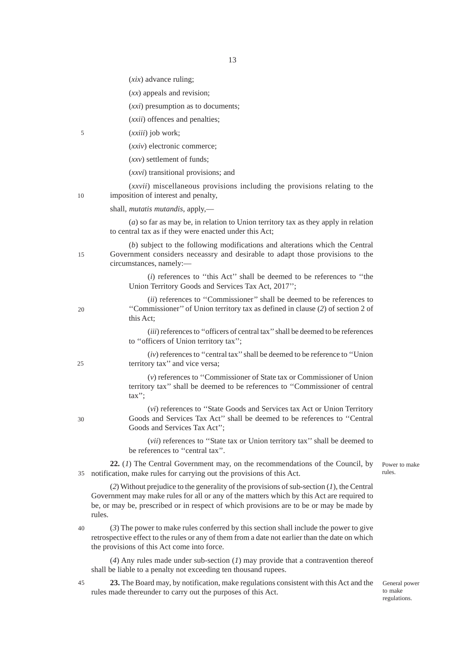(*xix*) advance ruling;

(*xx*) appeals and revision;

(*xxi*) presumption as to documents;

(*xxii*) offences and penalties;

(*xxiii*) job work; 5

(*xxiv*) electronic commerce;

(*xxv*) settlement of funds;

(*xxvi*) transitional provisions; and

(*xxvii*) miscellaneous provisions including the provisions relating to the imposition of interest and penalty,

10

15

20

 $25$ 

30

shall, *mutatis mutandis*, apply,—

(*a*) so far as may be, in relation to Union territory tax as they apply in relation to central tax as if they were enacted under this Act;

(*b*) subject to the following modifications and alterations which the Central Government considers neceassry and desirable to adapt those provisions to the circumstances, namely:—

> (*i*) references to ''this Act'' shall be deemed to be references to ''the Union Territory Goods and Services Tax Act, 2017'';

(*ii*) references to ''Commissioner'' shall be deemed to be references to ''Commissioner'' of Union territory tax as defined in clause (*2*) of section 2 of this Act;

(*iii*) references to ''officers of central tax'' shall be deemed to be references to ''officers of Union territory tax'';

(*iv*) references to ''central tax'' shall be deemed to be reference to ''Union territory tax'' and vice versa;

(*v*) references to ''Commissioner of State tax or Commissioner of Union territory tax'' shall be deemed to be references to ''Commissioner of central tax'';

(*vi*) references to ''State Goods and Services tax Act or Union Territory Goods and Services Tax Act'' shall be deemed to be references to ''Central Goods and Services Tax Act'';

(*vii*) references to ''State tax or Union territory tax'' shall be deemed to be references to ''central tax''.

**22.** (*1*) The Central Government may, on the recommendations of the Council, by notification, make rules for carrying out the provisions of this Act. 35

(*2*) Without prejudice to the generality of the provisions of sub-section (*1*), the Central Government may make rules for all or any of the matters which by this Act are required to be, or may be, prescribed or in respect of which provisions are to be or may be made by rules.

(*3*) The power to make rules conferred by this section shall include the power to give retrospective effect to the rules or any of them from a date not earlier than the date on which the provisions of this Act come into force.  $40$ 

(*4*) Any rules made under sub-section (*1*) may provide that a contravention thereof shall be liable to a penalty not exceeding ten thousand rupees.

**23.** The Board may, by notification, make regulations consistent with this Act and the rules made thereunder to carry out the purposes of this Act.

General power to make regulations.

Power to make rules.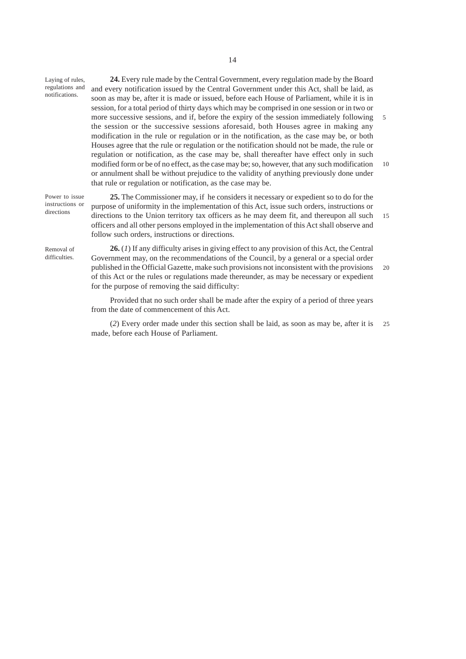| Laying of rules,<br>regulations and<br>notifications. | 24. Every rule made by the Central Government, every regulation made by the Board                                                                                                   |        |
|-------------------------------------------------------|-------------------------------------------------------------------------------------------------------------------------------------------------------------------------------------|--------|
|                                                       | and every notification issued by the Central Government under this Act, shall be laid, as                                                                                           |        |
|                                                       | soon as may be, after it is made or issued, before each House of Parliament, while it is in                                                                                         |        |
|                                                       | session, for a total period of thirty days which may be comprised in one session or in two or                                                                                       |        |
|                                                       | more successive sessions, and if, before the expiry of the session immediately following                                                                                            | $\sim$ |
|                                                       | the session or the successive sessions aforesaid, both Houses agree in making any                                                                                                   |        |
|                                                       | modification in the rule or regulation or in the notification, as the case may be, or both                                                                                          |        |
|                                                       | Houses agree that the rule or regulation or the notification should not be made, the rule or                                                                                        |        |
|                                                       | regulation or notification, as the case may be, shall thereafter have effect only in such                                                                                           |        |
|                                                       | modified form or be of no effect, as the case may be; so, however, that any such modification                                                                                       | -10    |
|                                                       | or annulment shall be without prejudice to the validity of anything previously done under                                                                                           |        |
|                                                       | that rule or regulation or notification, as the case may be.                                                                                                                        |        |
| Power to issue<br>instructions or<br>directions       | 25. The Commissioner may, if he considers it necessary or expedient so to do for the<br>purpose of uniformity in the implementation of this Act, issue such orders, instructions or |        |
|                                                       | directions to the Union territory tax officers as he may deem fit, and thereupon all such                                                                                           | 15     |
|                                                       | officers and all other persons employed in the implementation of this Act shall observe and                                                                                         |        |
|                                                       | follow such orders, instructions or directions.                                                                                                                                     |        |
| $\mathbf{D}$ $\mathbf{1}$                             | 26 (1) If any difficulty grises in giving effect to any provision of this Act, the Central                                                                                          |        |

Removal of difficulties.

**26.** (*1*) If any difficulty arises in giving effect to any provision of this Act, the Central Government may, on the recommendations of the Council, by a general or a special order published in the Official Gazette, make such provisions not inconsistent with the provisions of this Act or the rules or regulations made thereunder, as may be necessary or expedient for the purpose of removing the said difficulty: 20

Provided that no such order shall be made after the expiry of a period of three years from the date of commencement of this Act.

(*2*) Every order made under this section shall be laid, as soon as may be, after it is 25made, before each House of Parliament.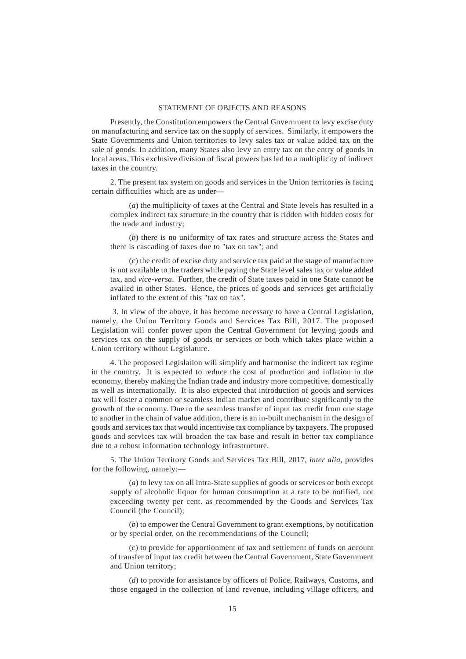## STATEMENT OF OBJECTS AND REASONS

Presently, the Constitution empowers the Central Government to levy excise duty on manufacturing and service tax on the supply of services. Similarly, it empowers the State Governments and Union territories to levy sales tax or value added tax on the sale of goods. In addition, many States also levy an entry tax on the entry of goods in local areas. This exclusive division of fiscal powers has led to a multiplicity of indirect taxes in the country.

2. The present tax system on goods and services in the Union territories is facing certain difficulties which are as under—

(*a*) the multiplicity of taxes at the Central and State levels has resulted in a complex indirect tax structure in the country that is ridden with hidden costs for the trade and industry;

(*b*) there is no uniformity of tax rates and structure across the States and there is cascading of taxes due to "tax on tax"; and

(*c*) the credit of excise duty and service tax paid at the stage of manufacture is not available to the traders while paying the State level sales tax or value added tax, and *vice-versa*. Further, the credit of State taxes paid in one State cannot be availed in other States. Hence, the prices of goods and services get artificially inflated to the extent of this "tax on tax".

 3. In view of the above, it has become necessary to have a Central Legislation, namely, the Union Territory Goods and Services Tax Bill, 2017. The proposed Legislation will confer power upon the Central Government for levying goods and services tax on the supply of goods or services or both which takes place within a Union territory without Legislature.

4. The proposed Legislation will simplify and harmonise the indirect tax regime in the country. It is expected to reduce the cost of production and inflation in the economy, thereby making the Indian trade and industry more competitive, domestically as well as internationally. It is also expected that introduction of goods and services tax will foster a common or seamless Indian market and contribute significantly to the growth of the economy. Due to the seamless transfer of input tax credit from one stage to another in the chain of value addition, there is an in-built mechanism in the design of goods and services tax that would incentivise tax compliance by taxpayers. The proposed goods and services tax will broaden the tax base and result in better tax compliance due to a robust information technology infrastructure.

5. The Union Territory Goods and Services Tax Bill, 2017, *inter alia*, provides for the following, namely:—

(*a*) to levy tax on all intra-State supplies of goods or services or both except supply of alcoholic liquor for human consumption at a rate to be notified, not exceeding twenty per cent. as recommended by the Goods and Services Tax Council (the Council);

(*b*) to empower the Central Government to grant exemptions, by notification or by special order, on the recommendations of the Council;

(*c*) to provide for apportionment of tax and settlement of funds on account of transfer of input tax credit between the Central Government, State Government and Union territory;

(*d*) to provide for assistance by officers of Police, Railways, Customs, and those engaged in the collection of land revenue, including village officers, and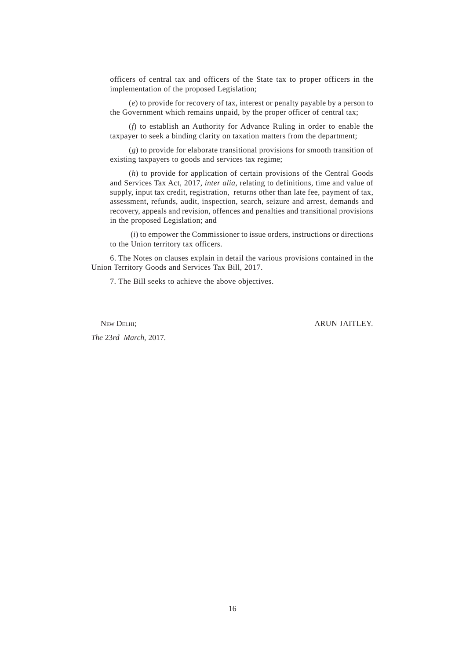officers of central tax and officers of the State tax to proper officers in the implementation of the proposed Legislation;

(*e*) to provide for recovery of tax, interest or penalty payable by a person to the Government which remains unpaid, by the proper officer of central tax;

(*f*) to establish an Authority for Advance Ruling in order to enable the taxpayer to seek a binding clarity on taxation matters from the department;

(*g*) to provide for elaborate transitional provisions for smooth transition of existing taxpayers to goods and services tax regime;

(*h*) to provide for application of certain provisions of the Central Goods and Services Tax Act, 2017, *inter alia*, relating to definitions, time and value of supply, input tax credit, registration, returns other than late fee, payment of tax, assessment, refunds, audit, inspection, search, seizure and arrest, demands and recovery, appeals and revision, offences and penalties and transitional provisions in the proposed Legislation; and

 (*i*) to empower the Commissioner to issue orders, instructions or directions to the Union territory tax officers.

6. The Notes on clauses explain in detail the various provisions contained in the Union Territory Goods and Services Tax Bill, 2017.

7. The Bill seeks to achieve the above objectives.

*The* 23*rd March,* 2017.

NEW DELHI: ARUN JAITLEY.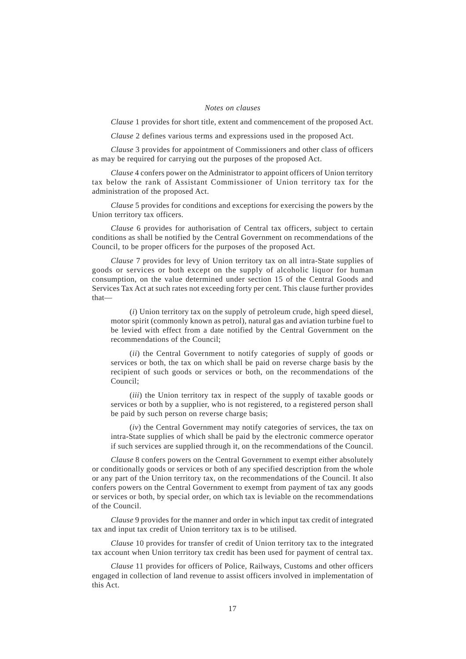#### *Notes on clauses*

*Clause* 1 provides for short title, extent and commencement of the proposed Act.

*Clause* 2 defines various terms and expressions used in the proposed Act.

*Clause* 3 provides for appointment of Commissioners and other class of officers as may be required for carrying out the purposes of the proposed Act.

*Clause* 4 confers power on the Administrator to appoint officers of Union territory tax below the rank of Assistant Commissioner of Union territory tax for the administration of the proposed Act.

*Clause* 5 provides for conditions and exceptions for exercising the powers by the Union territory tax officers.

*Clause* 6 provides for authorisation of Central tax officers, subject to certain conditions as shall be notified by the Central Government on recommendations of the Council, to be proper officers for the purposes of the proposed Act.

*Clause* 7 provides for levy of Union territory tax on all intra-State supplies of goods or services or both except on the supply of alcoholic liquor for human consumption, on the value determined under section 15 of the Central Goods and Services Tax Act at such rates not exceeding forty per cent. This clause further provides that—

(*i*) Union territory tax on the supply of petroleum crude, high speed diesel, motor spirit (commonly known as petrol), natural gas and aviation turbine fuel to be levied with effect from a date notified by the Central Government on the recommendations of the Council;

(*ii*) the Central Government to notify categories of supply of goods or services or both, the tax on which shall be paid on reverse charge basis by the recipient of such goods or services or both, on the recommendations of the Council;

(*iii*) the Union territory tax in respect of the supply of taxable goods or services or both by a supplier, who is not registered, to a registered person shall be paid by such person on reverse charge basis;

(*iv*) the Central Government may notify categories of services, the tax on intra-State supplies of which shall be paid by the electronic commerce operator if such services are supplied through it, on the recommendations of the Council.

*Clause* 8 confers powers on the Central Government to exempt either absolutely or conditionally goods or services or both of any specified description from the whole or any part of the Union territory tax, on the recommendations of the Council. It also confers powers on the Central Government to exempt from payment of tax any goods or services or both, by special order, on which tax is leviable on the recommendations of the Council.

*Clause* 9 provides for the manner and order in which input tax credit of integrated tax and input tax credit of Union territory tax is to be utilised.

*Clause* 10 provides for transfer of credit of Union territory tax to the integrated tax account when Union territory tax credit has been used for payment of central tax.

*Clause* 11 provides for officers of Police, Railways, Customs and other officers engaged in collection of land revenue to assist officers involved in implementation of this Act.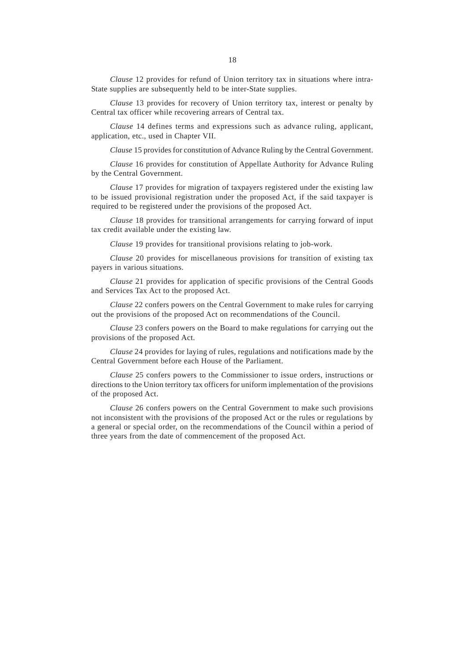*Clause* 12 provides for refund of Union territory tax in situations where intra-State supplies are subsequently held to be inter-State supplies.

*Clause* 13 provides for recovery of Union territory tax, interest or penalty by Central tax officer while recovering arrears of Central tax.

*Clause* 14 defines terms and expressions such as advance ruling, applicant, application, etc., used in Chapter VII.

*Clause* 15 provides for constitution of Advance Ruling by the Central Government.

*Clause* 16 provides for constitution of Appellate Authority for Advance Ruling by the Central Government.

*Clause* 17 provides for migration of taxpayers registered under the existing law to be issued provisional registration under the proposed Act, if the said taxpayer is required to be registered under the provisions of the proposed Act.

*Clause* 18 provides for transitional arrangements for carrying forward of input tax credit available under the existing law.

*Clause* 19 provides for transitional provisions relating to job-work.

*Clause* 20 provides for miscellaneous provisions for transition of existing tax payers in various situations.

*Clause* 21 provides for application of specific provisions of the Central Goods and Services Tax Act to the proposed Act.

*Clause* 22 confers powers on the Central Government to make rules for carrying out the provisions of the proposed Act on recommendations of the Council.

*Clause* 23 confers powers on the Board to make regulations for carrying out the provisions of the proposed Act.

*Clause* 24 provides for laying of rules, regulations and notifications made by the Central Government before each House of the Parliament.

*Clause* 25 confers powers to the Commissioner to issue orders, instructions or directions to the Union territory tax officers for uniform implementation of the provisions of the proposed Act.

*Clause* 26 confers powers on the Central Government to make such provisions not inconsistent with the provisions of the proposed Act or the rules or regulations by a general or special order, on the recommendations of the Council within a period of three years from the date of commencement of the proposed Act.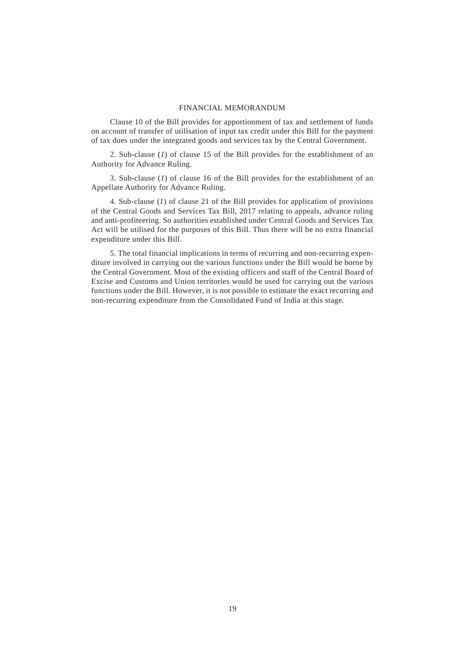#### FINANCIAL MEMORANDUM

Clause 10 of the Bill provides for apportionment of tax and settlement of funds on account of transfer of utilisation of input tax credit under this Bill for the payment of tax dues under the integrated goods and services tax by the Central Government.

2. Sub-clause (*1*) of clause 15 of the Bill provides for the establishment of an Authority for Advance Ruling.

3. Sub-clause (*1*) of clause 16 of the Bill provides for the establishment of an Appellate Authority for Advance Ruling.

4. Sub-clause (*1*) of clause 21 of the Bill provides for application of provisions of the Central Goods and Services Tax Bill, 2017 relating to appeals, advance ruling and anti-profiteering. So authorities established under Central Goods and Services Tax Act will be utilised for the purposes of this Bill. Thus there will be no extra financial expenditure under this Bill.

5. The total financial implications in terms of recurring and non-recurring expenditure involved in carrying out the various functions under the Bill would be borne by the Central Government. Most of the existing officers and staff of the Central Board of Excise and Customs and Union territories would be used for carrying out the various functions under the Bill. However, it is not possible to estimate the exact recurring and non-recurring expenditure from the Consolidated Fund of India at this stage.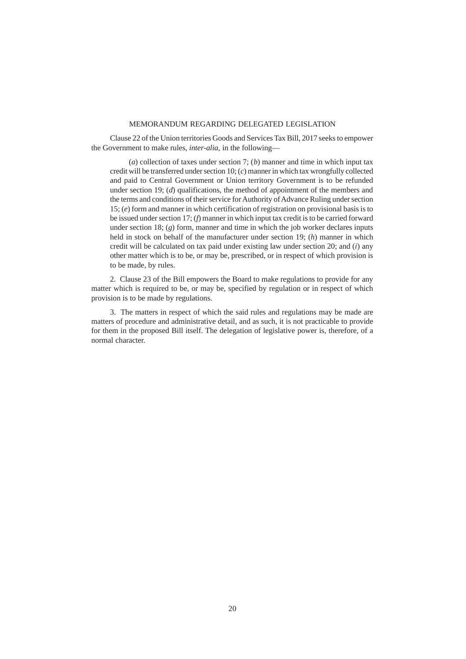## MEMORANDUM REGARDING DELEGATED LEGISLATION

Clause 22 of the Union territories Goods and Services Tax Bill, 2017 seeks to empower the Government to make rules, *inter-alia,* in the following—

(*a*) collection of taxes under section 7; (*b*) manner and time in which input tax credit will be transferred under section 10; (*c*) manner in which tax wrongfully collected and paid to Central Government or Union territory Government is to be refunded under section 19; (*d*) qualifications, the method of appointment of the members and the terms and conditions of their service for Authority of Advance Ruling under section 15; (*e*) form and manner in which certification of registration on provisional basis is to be issued under section 17; (*f*) manner in which input tax credit is to be carried forward under section 18;  $(g)$  form, manner and time in which the job worker declares inputs held in stock on behalf of the manufacturer under section 19; (*h*) manner in which credit will be calculated on tax paid under existing law under section 20; and (*i*) any other matter which is to be, or may be, prescribed, or in respect of which provision is to be made, by rules.

2. Clause 23 of the Bill empowers the Board to make regulations to provide for any matter which is required to be, or may be, specified by regulation or in respect of which provision is to be made by regulations.

3. The matters in respect of which the said rules and regulations may be made are matters of procedure and administrative detail, and as such, it is not practicable to provide for them in the proposed Bill itself. The delegation of legislative power is, therefore, of a normal character.